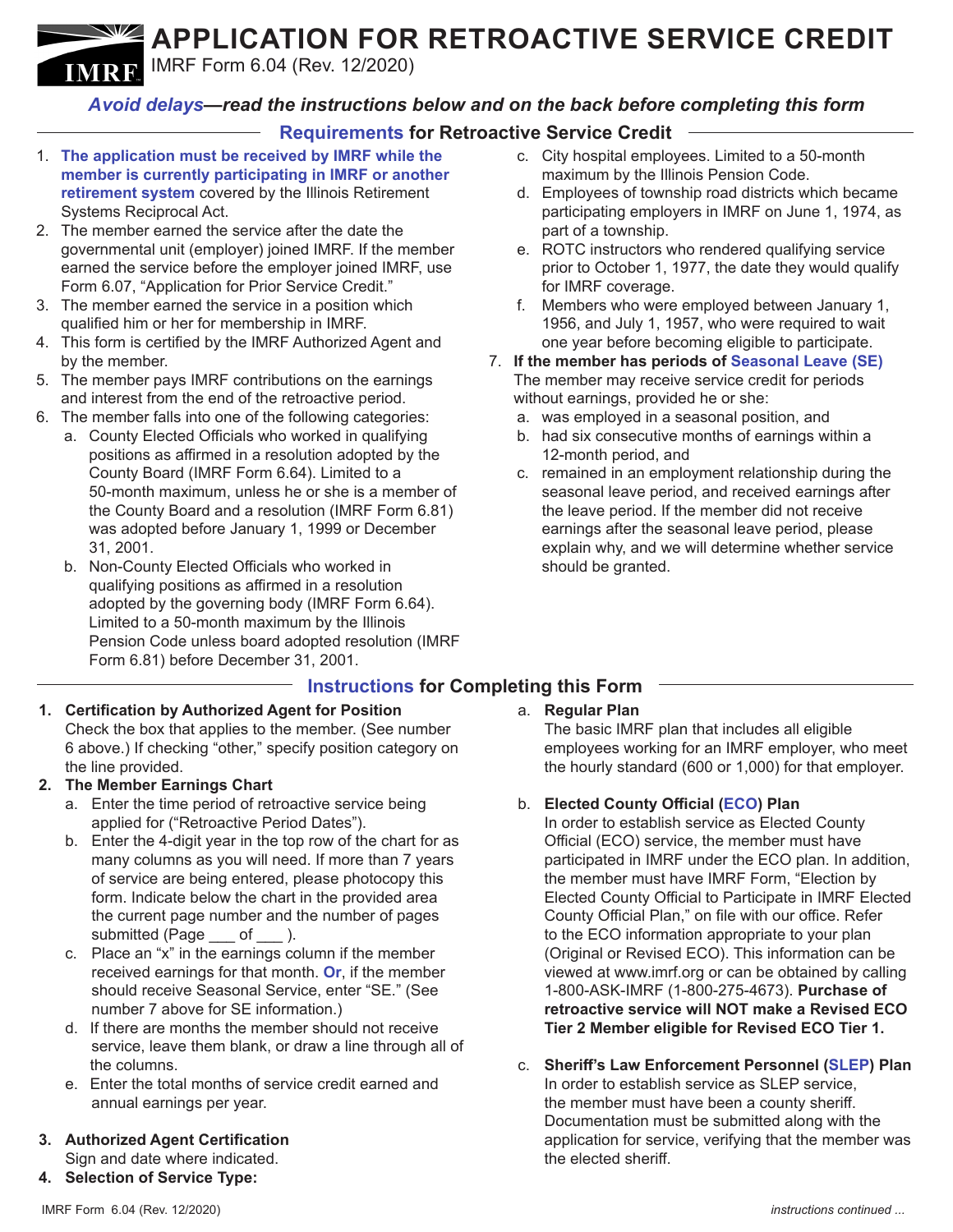## **APPLICATION FOR RETROACTIVE SERVICE CREDIT**

IMRF Form 6.04 (Rev. 12/2020) **IMRE** 

## *Avoid delays—read the instructions below and on the back before completing this form*

## **Requirements for Retroactive Service Credit**

- 1. **The application must be received by IMRF while the member is currently participating in IMRF or another retirement system** covered by the Illinois Retirement Systems Reciprocal Act.
- 2. The member earned the service after the date the governmental unit (employer) joined IMRF. If the member earned the service before the employer joined IMRF, use Form 6.07, "Application for Prior Service Credit."
- 3. The member earned the service in a position which qualified him or her for membership in IMRF.
- 4. This form is certified by the IMRF Authorized Agent and by the member.
- 5. The member pays IMRF contributions on the earnings and interest from the end of the retroactive period.
- 6. The member falls into one of the following categories:
	- a. County Elected Officials who worked in qualifying positions as affirmed in a resolution adopted by the County Board (IMRF Form 6.64). Limited to a 50-month maximum, unless he or she is a member of the County Board and a resolution (IMRF Form 6.81) was adopted before January 1, 1999 or December 31, 2001.
	- b. Non-County Elected Officials who worked in qualifying positions as affirmed in a resolution adopted by the governing body (IMRF Form 6.64). Limited to a 50-month maximum by the Illinois Pension Code unless board adopted resolution (IMRF Form 6.81) before December 31, 2001.
- c. City hospital employees. Limited to a 50-month maximum by the Illinois Pension Code.
- d. Employees of township road districts which became participating employers in IMRF on June 1, 1974, as part of a township.
- e. ROTC instructors who rendered qualifying service prior to October 1, 1977, the date they would qualify for IMRF coverage.
- f. Members who were employed between January 1, 1956, and July 1, 1957, who were required to wait one year before becoming eligible to participate.
- 7. **If the member has periods of Seasonal Leave (SE)** The member may receive service credit for periods without earnings, provided he or she:
	- a. was employed in a seasonal position, and
	- b. had six consecutive months of earnings within a 12-month period, and
	- c. remained in an employment relationship during the seasonal leave period, and received earnings after the leave period. If the member did not receive earnings after the seasonal leave period, please explain why, and we will determine whether service should be granted.

## **Instructions for Completing this Form**

#### **1. Certification by Authorized Agent for Position** Check the box that applies to the member. (See number 6 above.) If checking "other," specify position category on the line provided.

#### **2. The Member Earnings Chart**

- a. Enter the time period of retroactive service being applied for ("Retroactive Period Dates").
- b. Enter the 4-digit year in the top row of the chart for as many columns as you will need. If more than 7 years of service are being entered, please photocopy this form. Indicate below the chart in the provided area the current page number and the number of pages submitted (Page \_\_\_ of \_\_\_ ).
- c. Place an "x" in the earnings column if the member received earnings for that month. **Or**, if the member should receive Seasonal Service, enter "SE." (See number 7 above for SE information.)
- d. If there are months the member should not receive service, leave them blank, or draw a line through all of the columns.
- e. Enter the total months of service credit earned and annual earnings per year.
- **3. Authorized Agent Certification** Sign and date where indicated. **4. Selection of Service Type:**

## a. **Regular Plan**

The basic IMRF plan that includes all eligible employees working for an IMRF employer, who meet the hourly standard (600 or 1,000) for that employer.

#### b. **Elected County Official (ECO) Plan**

In order to establish service as Elected County Official (ECO) service, the member must have participated in IMRF under the ECO plan. In addition, the member must have IMRF Form, "Election by Elected County Official to Participate in IMRF Elected County Official Plan," on file with our office. Refer to the ECO information appropriate to your plan (Original or Revised ECO). This information can be viewed at www.imrf.org or can be obtained by calling 1-800-ASK-IMRF (1-800-275-4673). **Purchase of retroactive service will NOT make a Revised ECO Tier 2 Member eligible for Revised ECO Tier 1.**

c. **Sheriff's Law Enforcement Personnel (SLEP) Plan**  In order to establish service as SLEP service, the member must have been a county sheriff. Documentation must be submitted along with the application for service, verifying that the member was the elected sheriff.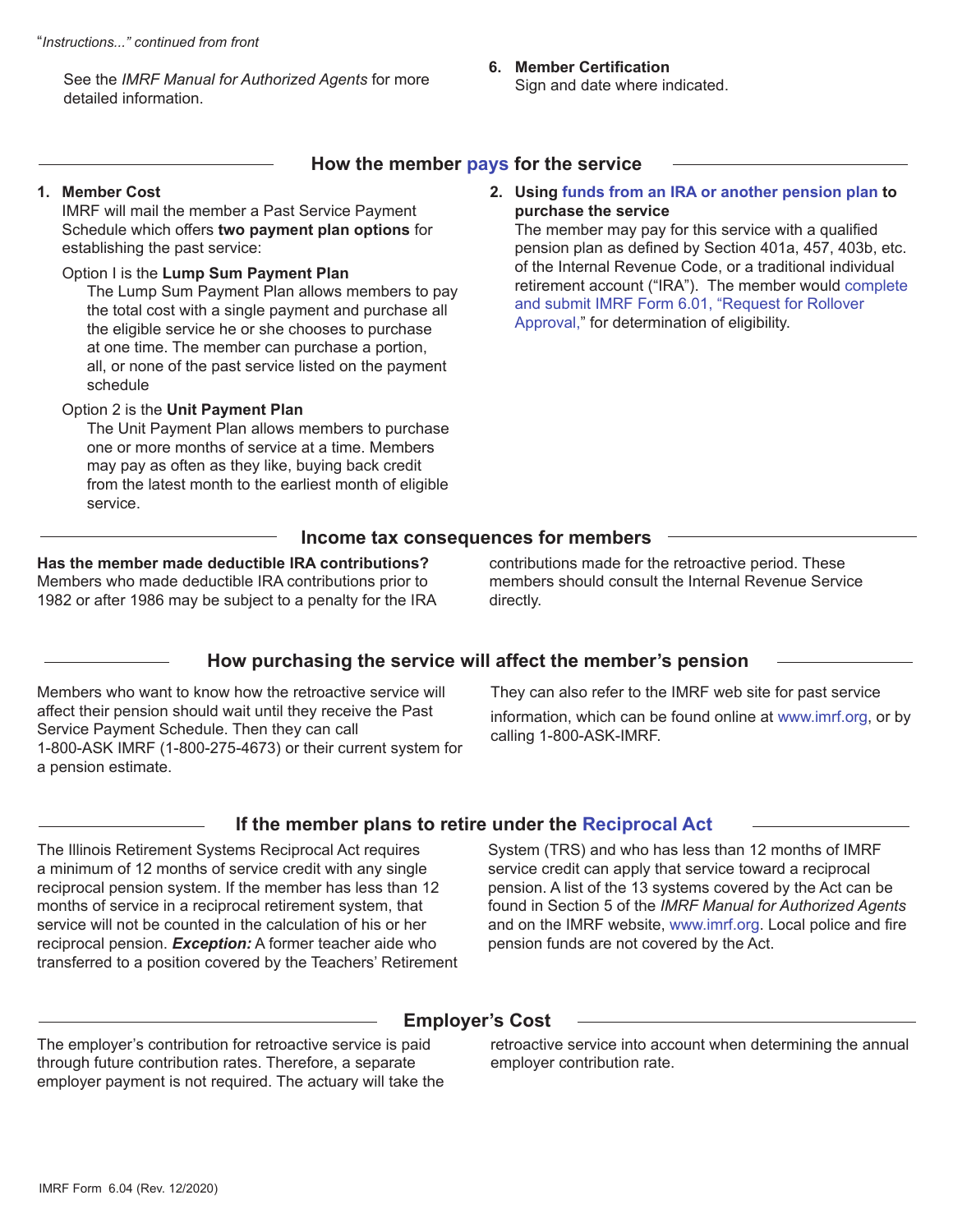See the *IMRF Manual for Authorized Agents* for more detailed information.

#### **6. Member Certification** Sign and date where indicated.

#### **How the member pays for the service**

#### **1. Member Cost**

IMRF will mail the member a Past Service Payment Schedule which offers **two payment plan options** for establishing the past service:

#### Option I is the **Lump Sum Payment Plan**

The Lump Sum Payment Plan allows members to pay the total cost with a single payment and purchase all the eligible service he or she chooses to purchase at one time. The member can purchase a portion, all, or none of the past service listed on the payment schedule

#### Option 2 is the **Unit Payment Plan**

The Unit Payment Plan allows members to purchase one or more months of service at a time. Members may pay as often as they like, buying back credit from the latest month to the earliest month of eligible service.

#### **2. Using funds from an IRA or another pension plan to purchase the service**

The member may pay for this service with a qualified pension plan as defined by Section 401a, 457, 403b, etc. of the Internal Revenue Code, or a traditional individual retirement account ("IRA"). The member would complete and submit IMRF Form 6.01, "Request for Rollover Approval," for determination of eligibility.

#### **Income tax consequences for members**

#### **Has the member made deductible IRA contributions?**  Members who made deductible IRA contributions prior to

1982 or after 1986 may be subject to a penalty for the IRA

contributions made for the retroactive period. These members should consult the Internal Revenue Service directly.

## **How purchasing the service will affect the member's pension**

Members who want to know how the retroactive service will affect their pension should wait until they receive the Past Service Payment Schedule. Then they can call 1-800-ASK IMRF (1-800-275-4673) or their current system for a pension estimate.

They can also refer to the IMRF web site for past service information, which can be found online at www.imrf.org, or by calling 1-800-ASK-IMRF.

#### **If the member plans to retire under the Reciprocal Act**

The Illinois Retirement Systems Reciprocal Act requires a minimum of 12 months of service credit with any single reciprocal pension system. If the member has less than 12 months of service in a reciprocal retirement system, that service will not be counted in the calculation of his or her reciprocal pension. *Exception:* A former teacher aide who transferred to a position covered by the Teachers' Retirement

System (TRS) and who has less than 12 months of IMRF service credit can apply that service toward a reciprocal pension. A list of the 13 systems covered by the Act can be found in Section 5 of the *IMRF Manual for Authorized Agents* and on the IMRF website, www.imrf.org. Local police and fire pension funds are not covered by the Act.

## **Employer's Cost**

The employer's contribution for retroactive service is paid through future contribution rates. Therefore, a separate employer payment is not required. The actuary will take the retroactive service into account when determining the annual employer contribution rate.